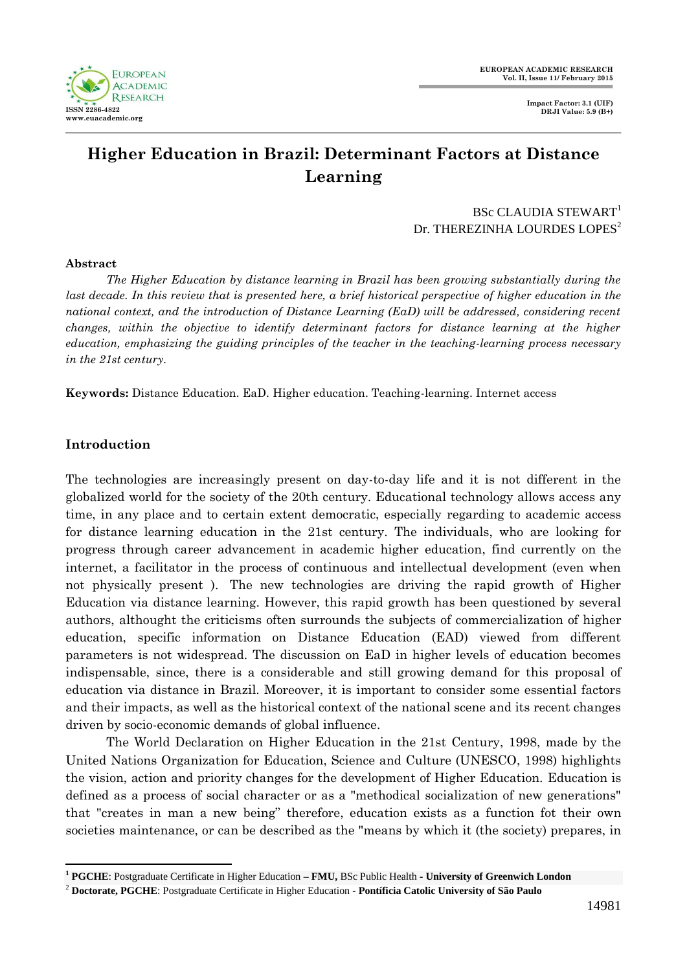

# **Higher Education in Brazil: Determinant Factors at Distance Learning**

# BSc CLAUDIA STEWART<sup>1</sup> Dr. THEREZINHA LOURDES LOPES<sup>2</sup>

#### **Abstract**

*The Higher Education by distance learning in Brazil has been growing substantially during the last decade. In this review that is presented here, a brief historical perspective of higher education in the national context, and the introduction of Distance Learning (EaD) will be addressed, considering recent changes, within the objective to identify determinant factors for distance learning at the higher education, emphasizing the guiding principles of the teacher in the teaching-learning process necessary in the 21st century.*

**Keywords:** Distance Education. EaD. Higher education. Teaching-learning. Internet access

# **Introduction**

 $\overline{a}$ 

The technologies are increasingly present on day-to-day life and it is not different in the globalized world for the society of the 20th century. Educational technology allows access any time, in any place and to certain extent democratic, especially regarding to academic access for distance learning education in the 21st century. The individuals, who are looking for progress through career advancement in academic higher education, find currently on the internet, a facilitator in the process of continuous and intellectual development (even when not physically present ). The new technologies are driving the rapid growth of Higher Education via distance learning. However, this rapid growth has been questioned by several authors, althought the criticisms often surrounds the subjects of commercialization of higher education, specific information on Distance Education (EAD) viewed from different parameters is not widespread. The discussion on EaD in higher levels of education becomes indispensable, since, there is a considerable and still growing demand for this proposal of education via distance in Brazil. Moreover, it is important to consider some essential factors and their impacts, as well as the historical context of the national scene and its recent changes driven by socio-economic demands of global influence.

The World Declaration on Higher Education in the 21st Century, 1998, made by the United Nations Organization for Education, Science and Culture (UNESCO, 1998) highlights the vision, action and priority changes for the development of Higher Education. Education is defined as a process of social character or as a "methodical socialization of new generations" that "creates in man a new being" therefore, education exists as a function fot their own societies maintenance, or can be described as the "means by which it (the society) prepares, in

**<sup>1</sup> PGCHE**: Postgraduate Certificate in Higher Education **– FMU,** BSc Public Health **- University of Greenwich London**

<sup>2</sup> **Doctorate, PGCHE**: Postgraduate Certificate in Higher Education - **Pontíficia Catolic University of São Paulo**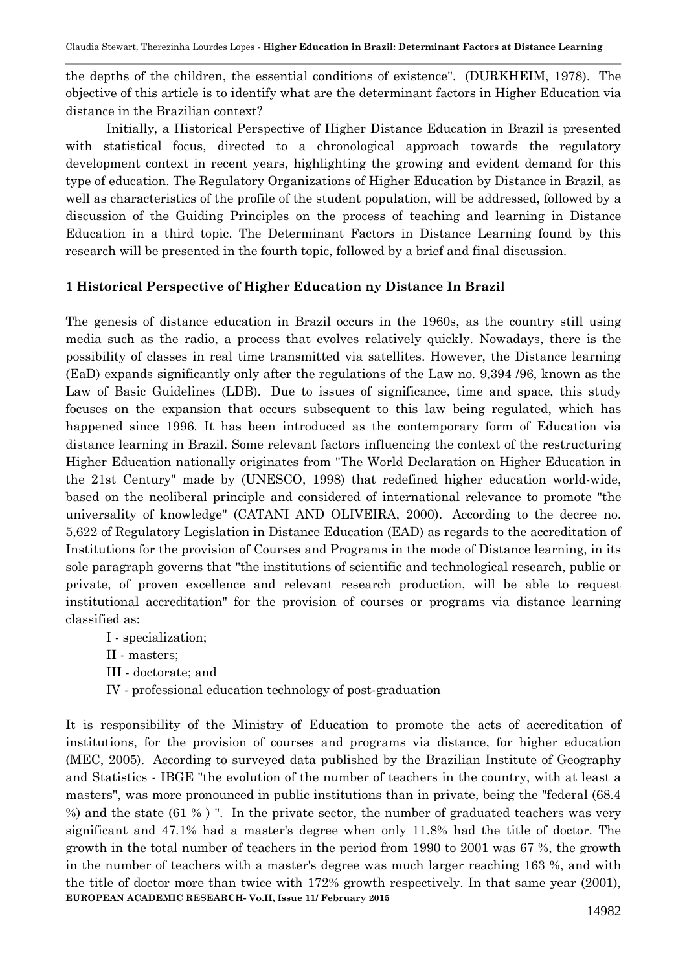the depths of the children, the essential conditions of existence". (DURKHEIM, 1978). The objective of this article is to identify what are the determinant factors in Higher Education via distance in the Brazilian context?

Initially, a Historical Perspective of Higher Distance Education in Brazil is presented with statistical focus, directed to a chronological approach towards the regulatory development context in recent years, highlighting the growing and evident demand for this type of education. The Regulatory Organizations of Higher Education by Distance in Brazil, as well as characteristics of the profile of the student population, will be addressed, followed by a discussion of the Guiding Principles on the process of teaching and learning in Distance Education in a third topic. The Determinant Factors in Distance Learning found by this research will be presented in the fourth topic, followed by a brief and final discussion.

# **1 Historical Perspective of Higher Education ny Distance In Brazil**

The genesis of distance education in Brazil occurs in the 1960s, as the country still using media such as the radio, a process that evolves relatively quickly. Nowadays, there is the possibility of classes in real time transmitted via satellites. However, the Distance learning (EaD) expands significantly only after the regulations of the Law no. 9,394 /96, known as the Law of Basic Guidelines (LDB). Due to issues of significance, time and space, this study focuses on the expansion that occurs subsequent to this law being regulated, which has happened since 1996. It has been introduced as the contemporary form of Education via distance learning in Brazil. Some relevant factors influencing the context of the restructuring Higher Education nationally originates from "The World Declaration on Higher Education in the 21st Century" made by (UNESCO, 1998) that redefined higher education world-wide, based on the neoliberal principle and considered of international relevance to promote "the universality of knowledge" (CATANI AND OLIVEIRA, 2000). According to the decree no. 5,622 of Regulatory Legislation in Distance Education (EAD) as regards to the accreditation of Institutions for the provision of Courses and Programs in the mode of Distance learning, in its sole paragraph governs that "the institutions of scientific and technological research, public or private, of proven excellence and relevant research production, will be able to request institutional accreditation" for the provision of courses or programs via distance learning classified as:

- I specialization;
- II masters;
- III doctorate; and
- IV professional education technology of post-graduation

**EUROPEAN ACADEMIC RESEARCH- Vo.II, Issue 11/ February 2015** It is responsibility of the Ministry of Education to promote the acts of accreditation of institutions, for the provision of courses and programs via distance, for higher education (MEC, 2005). According to surveyed data published by the Brazilian Institute of Geography and Statistics - IBGE "the evolution of the number of teachers in the country, with at least a masters", was more pronounced in public institutions than in private, being the "federal (68.4 %) and the state (61 % ) ". In the private sector, the number of graduated teachers was very significant and 47.1% had a master's degree when only 11.8% had the title of doctor. The growth in the total number of teachers in the period from 1990 to 2001 was 67 %, the growth in the number of teachers with a master's degree was much larger reaching 163 %, and with the title of doctor more than twice with 172% growth respectively. In that same year (2001),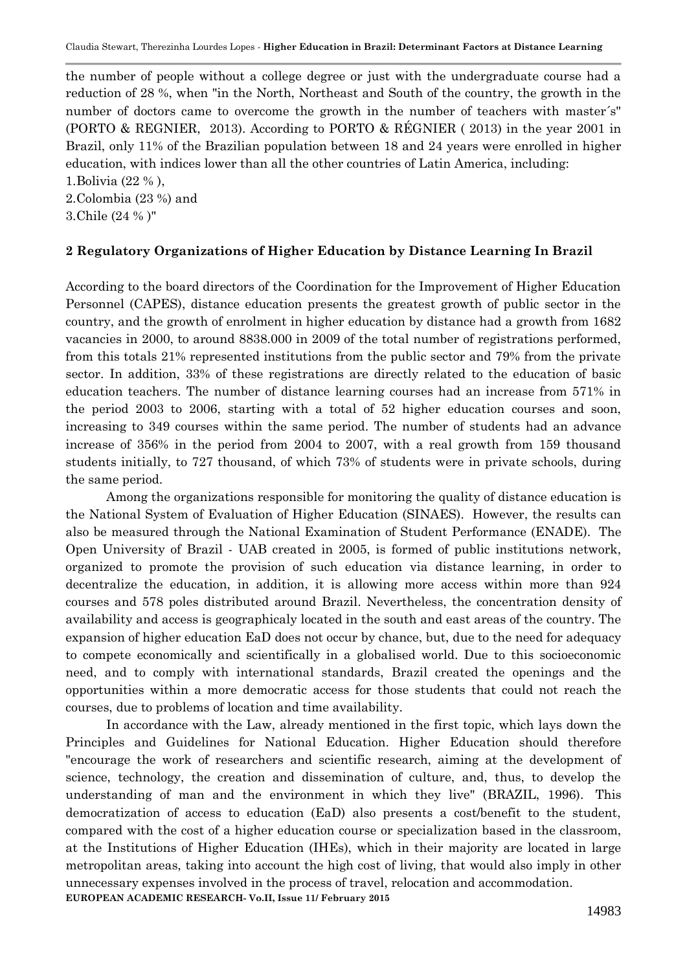the number of people without a college degree or just with the undergraduate course had a reduction of 28 %, when "in the North, Northeast and South of the country, the growth in the number of doctors came to overcome the growth in the number of teachers with master´s" (PORTO & REGNIER, 2013). According to PORTO & RÉGNIER ( 2013) in the year 2001 in Brazil, only 11% of the Brazilian population between 18 and 24 years were enrolled in higher education, with indices lower than all the other countries of Latin America, including:

1.Bolivia (22 % ),

2.Colombia (23 %) and

3.Chile (24 % )"

#### **2 Regulatory Organizations of Higher Education by Distance Learning In Brazil**

According to the board directors of the Coordination for the Improvement of Higher Education Personnel (CAPES), distance education presents the greatest growth of public sector in the country, and the growth of enrolment in higher education by distance had a growth from 1682 vacancies in 2000, to around 8838.000 in 2009 of the total number of registrations performed, from this totals 21% represented institutions from the public sector and 79% from the private sector. In addition, 33% of these registrations are directly related to the education of basic education teachers. The number of distance learning courses had an increase from 571% in the period 2003 to 2006, starting with a total of 52 higher education courses and soon, increasing to 349 courses within the same period. The number of students had an advance increase of 356% in the period from 2004 to 2007, with a real growth from 159 thousand students initially, to 727 thousand, of which 73% of students were in private schools, during the same period.

Among the organizations responsible for monitoring the quality of distance education is the National System of Evaluation of Higher Education (SINAES). However, the results can also be measured through the National Examination of Student Performance (ENADE). The Open University of Brazil - UAB created in 2005, is formed of public institutions network, organized to promote the provision of such education via distance learning, in order to decentralize the education, in addition, it is allowing more access within more than 924 courses and 578 poles distributed around Brazil. Nevertheless, the concentration density of availability and access is geographicaly located in the south and east areas of the country. The expansion of higher education EaD does not occur by chance, but, due to the need for adequacy to compete economically and scientifically in a globalised world. Due to this socioeconomic need, and to comply with international standards, Brazil created the openings and the opportunities within a more democratic access for those students that could not reach the courses, due to problems of location and time availability.

**EUROPEAN ACADEMIC RESEARCH- Vo.II, Issue 11/ February 2015** In accordance with the Law, already mentioned in the first topic, which lays down the Principles and Guidelines for National Education. Higher Education should therefore "encourage the work of researchers and scientific research, aiming at the development of science, technology, the creation and dissemination of culture, and, thus, to develop the understanding of man and the environment in which they live" (BRAZIL, 1996). This democratization of access to education (EaD) also presents a cost/benefit to the student, compared with the cost of a higher education course or specialization based in the classroom, at the Institutions of Higher Education (IHEs), which in their majority are located in large metropolitan areas, taking into account the high cost of living, that would also imply in other unnecessary expenses involved in the process of travel, relocation and accommodation.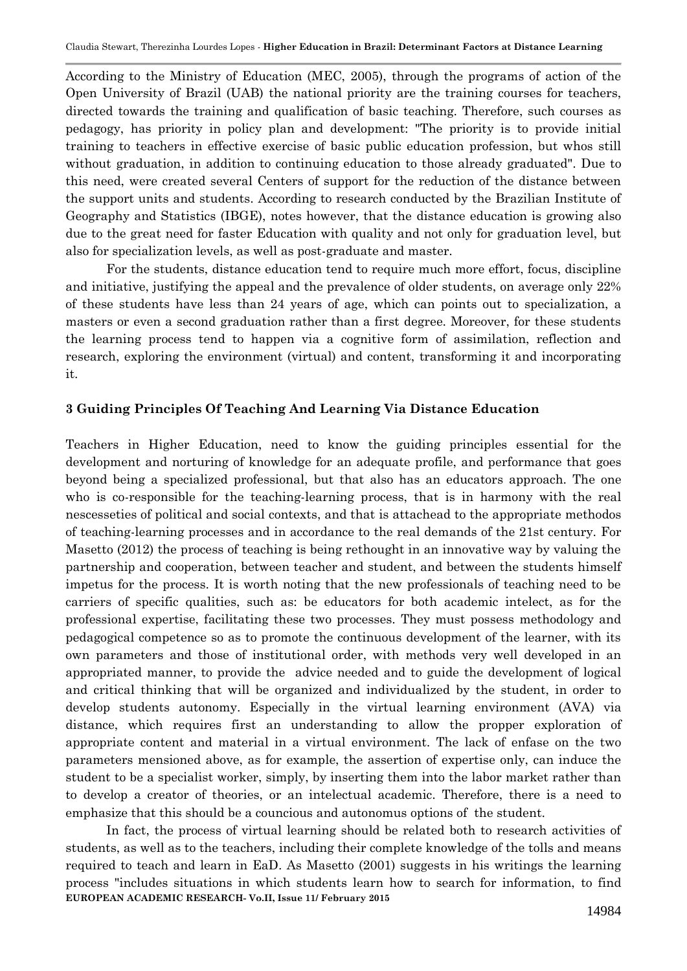According to the Ministry of Education (MEC, 2005), through the programs of action of the Open University of Brazil (UAB) the national priority are the training courses for teachers, directed towards the training and qualification of basic teaching. Therefore, such courses as pedagogy, has priority in policy plan and development: "The priority is to provide initial training to teachers in effective exercise of basic public education profession, but whos still without graduation, in addition to continuing education to those already graduated". Due to this need, were created several Centers of support for the reduction of the distance between the support units and students. According to research conducted by the Brazilian Institute of Geography and Statistics (IBGE), notes however, that the distance education is growing also due to the great need for faster Education with quality and not only for graduation level, but also for specialization levels, as well as post-graduate and master.

For the students, distance education tend to require much more effort, focus, discipline and initiative, justifying the appeal and the prevalence of older students, on average only 22% of these students have less than 24 years of age, which can points out to specialization, a masters or even a second graduation rather than a first degree. Moreover, for these students the learning process tend to happen via a cognitive form of assimilation, reflection and research, exploring the environment (virtual) and content, transforming it and incorporating it.

#### **3 Guiding Principles Of Teaching And Learning Via Distance Education**

Teachers in Higher Education, need to know the guiding principles essential for the development and norturing of knowledge for an adequate profile, and performance that goes beyond being a specialized professional, but that also has an educators approach. The one who is co-responsible for the teaching-learning process, that is in harmony with the real nescesseties of political and social contexts, and that is attachead to the appropriate methodos of teaching-learning processes and in accordance to the real demands of the 21st century. For Masetto (2012) the process of teaching is being rethought in an innovative way by valuing the partnership and cooperation, between teacher and student, and between the students himself impetus for the process. It is worth noting that the new professionals of teaching need to be carriers of specific qualities, such as: be educators for both academic intelect, as for the professional expertise, facilitating these two processes. They must possess methodology and pedagogical competence so as to promote the continuous development of the learner, with its own parameters and those of institutional order, with methods very well developed in an appropriated manner, to provide the advice needed and to guide the development of logical and critical thinking that will be organized and individualized by the student, in order to develop students autonomy. Especially in the virtual learning environment (AVA) via distance, which requires first an understanding to allow the propper exploration of appropriate content and material in a virtual environment. The lack of enfase on the two parameters mensioned above, as for example, the assertion of expertise only, can induce the student to be a specialist worker, simply, by inserting them into the labor market rather than to develop a creator of theories, or an intelectual academic. Therefore, there is a need to emphasize that this should be a councious and autonomus options of the student.

**EUROPEAN ACADEMIC RESEARCH- Vo.II, Issue 11/ February 2015** In fact, the process of virtual learning should be related both to research activities of students, as well as to the teachers, including their complete knowledge of the tolls and means required to teach and learn in EaD. As Masetto (2001) suggests in his writings the learning process "includes situations in which students learn how to search for information, to find

14984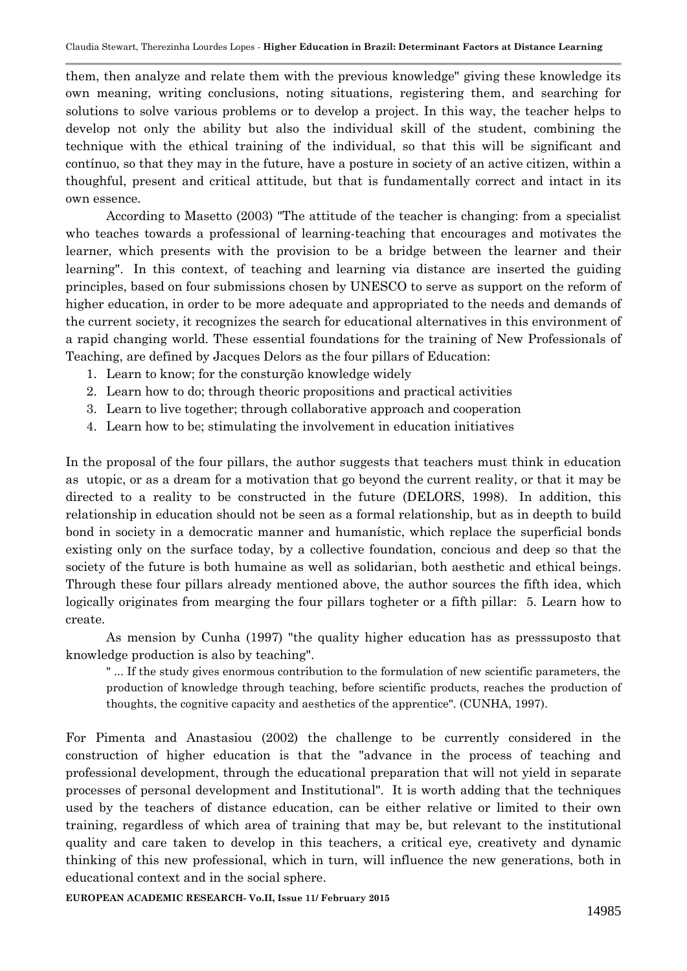them, then analyze and relate them with the previous knowledge" giving these knowledge its own meaning, writing conclusions, noting situations, registering them, and searching for solutions to solve various problems or to develop a project. In this way, the teacher helps to develop not only the ability but also the individual skill of the student, combining the technique with the ethical training of the individual, so that this will be significant and contínuo, so that they may in the future, have a posture in society of an active citizen, within a thoughful, present and critical attitude, but that is fundamentally correct and intact in its own essence.

According to Masetto (2003) "The attitude of the teacher is changing: from a specialist who teaches towards a professional of learning-teaching that encourages and motivates the learner, which presents with the provision to be a bridge between the learner and their learning". In this context, of teaching and learning via distance are inserted the guiding principles, based on four submissions chosen by UNESCO to serve as support on the reform of higher education, in order to be more adequate and appropriated to the needs and demands of the current society, it recognizes the search for educational alternatives in this environment of a rapid changing world. These essential foundations for the training of New Professionals of Teaching, are defined by Jacques Delors as the four pillars of Education:

- 1. Learn to know; for the consturção knowledge widely
- 2. Learn how to do; through theoric propositions and practical activities
- 3. Learn to live together; through collaborative approach and cooperation
- 4. Learn how to be; stimulating the involvement in education initiatives

In the proposal of the four pillars, the author suggests that teachers must think in education as utopic, or as a dream for a motivation that go beyond the current reality, or that it may be directed to a reality to be constructed in the future (DELORS, 1998). In addition, this relationship in education should not be seen as a formal relationship, but as in deepth to build bond in society in a democratic manner and humanístic, which replace the superficial bonds existing only on the surface today, by a collective foundation, concious and deep so that the society of the future is both humaine as well as solidarian, both aesthetic and ethical beings. Through these four pillars already mentioned above, the author sources the fifth idea, which logically originates from mearging the four pillars togheter or a fifth pillar: 5. Learn how to create.

As mension by Cunha (1997) "the quality higher education has as presssuposto that knowledge production is also by teaching".

" ... If the study gives enormous contribution to the formulation of new scientific parameters, the production of knowledge through teaching, before scientific products, reaches the production of thoughts, the cognitive capacity and aesthetics of the apprentice". (CUNHA, 1997).

For Pimenta and Anastasiou (2002) the challenge to be currently considered in the construction of higher education is that the "advance in the process of teaching and professional development, through the educational preparation that will not yield in separate processes of personal development and Institutional". It is worth adding that the techniques used by the teachers of distance education, can be either relative or limited to their own training, regardless of which area of training that may be, but relevant to the institutional quality and care taken to develop in this teachers, a critical eye, creativety and dynamic thinking of this new professional, which in turn, will influence the new generations, both in educational context and in the social sphere.

**EUROPEAN ACADEMIC RESEARCH- Vo.II, Issue 11/ February 2015**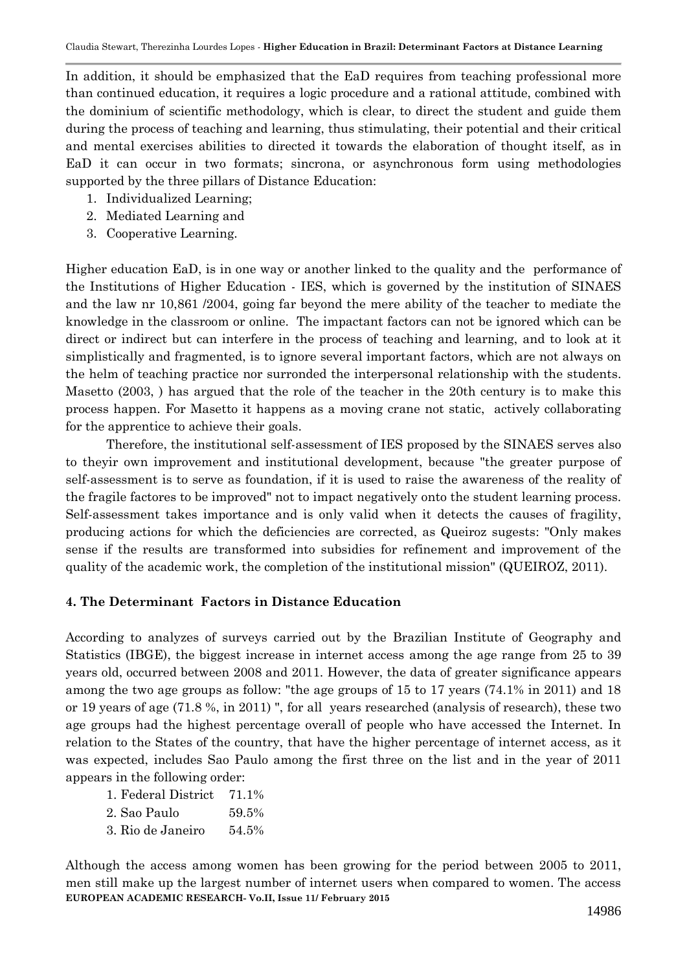In addition, it should be emphasized that the EaD requires from teaching professional more than continued education, it requires a logic procedure and a rational attitude, combined with the dominium of scientific methodology, which is clear, to direct the student and guide them during the process of teaching and learning, thus stimulating, their potential and their critical and mental exercises abilities to directed it towards the elaboration of thought itself, as in EaD it can occur in two formats; sincrona, or asynchronous form using methodologies supported by the three pillars of Distance Education:

- 1. Individualized Learning;
- 2. Mediated Learning and
- 3. Cooperative Learning.

Higher education EaD, is in one way or another linked to the quality and the performance of the Institutions of Higher Education - IES, which is governed by the institution of SINAES and the law nr 10,861 /2004, going far beyond the mere ability of the teacher to mediate the knowledge in the classroom or online. The impactant factors can not be ignored which can be direct or indirect but can interfere in the process of teaching and learning, and to look at it simplistically and fragmented, is to ignore several important factors, which are not always on the helm of teaching practice nor surronded the interpersonal relationship with the students. Masetto (2003, ) has argued that the role of the teacher in the 20th century is to make this process happen. For Masetto it happens as a moving crane not static, actively collaborating for the apprentice to achieve their goals.

Therefore, the institutional self-assessment of IES proposed by the SINAES serves also to theyir own improvement and institutional development, because "the greater purpose of self-assessment is to serve as foundation, if it is used to raise the awareness of the reality of the fragile factores to be improved" not to impact negatively onto the student learning process. Self-assessment takes importance and is only valid when it detects the causes of fragility, producing actions for which the deficiencies are corrected, as Queiroz sugests: "Only makes sense if the results are transformed into subsidies for refinement and improvement of the quality of the academic work, the completion of the institutional mission" (QUEIROZ, 2011).

## **4. The Determinant Factors in Distance Education**

According to analyzes of surveys carried out by the Brazilian Institute of Geography and Statistics (IBGE), the biggest increase in internet access among the age range from 25 to 39 years old, occurred between 2008 and 2011. However, the data of greater significance appears among the two age groups as follow: "the age groups of 15 to 17 years (74.1% in 2011) and 18 or 19 years of age (71.8 %, in 2011) ", for all years researched (analysis of research), these two age groups had the highest percentage overall of people who have accessed the Internet. In relation to the States of the country, that have the higher percentage of internet access, as it was expected, includes Sao Paulo among the first three on the list and in the year of 2011 appears in the following order:

| 1. Federal District 71.1% |       |
|---------------------------|-------|
| 2. Sao Paulo              | 59.5% |
| 3. Rio de Janeiro         | 54.5% |

**EUROPEAN ACADEMIC RESEARCH- Vo.II, Issue 11/ February 2015** Although the access among women has been growing for the period between 2005 to 2011, men still make up the largest number of internet users when compared to women. The access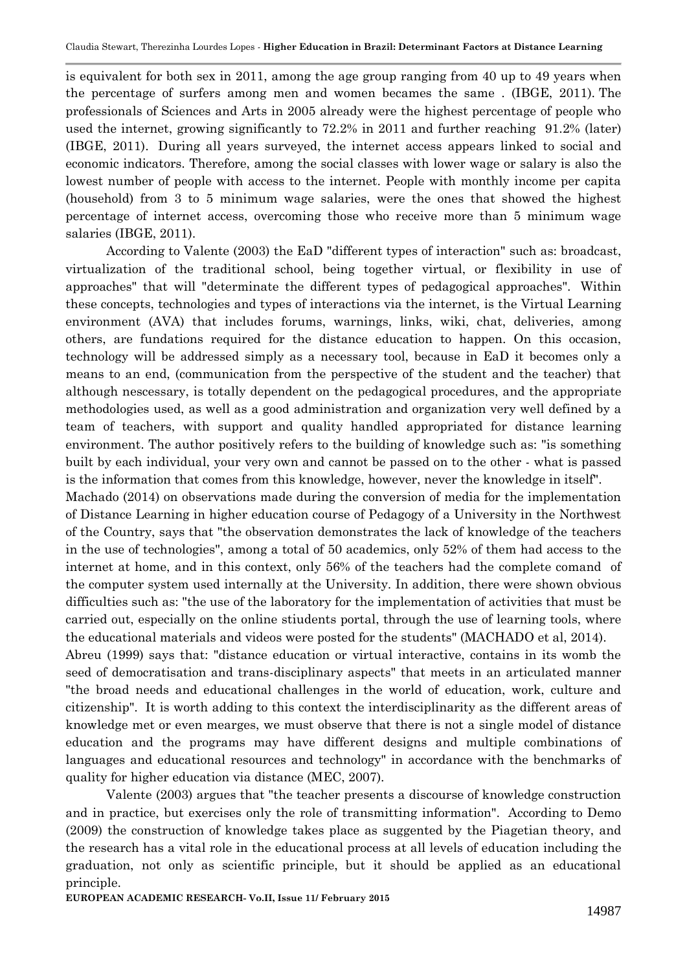is equivalent for both sex in 2011, among the age group ranging from 40 up to 49 years when the percentage of surfers among men and women becames the same . (IBGE, 2011). The professionals of Sciences and Arts in 2005 already were the highest percentage of people who used the internet, growing significantly to 72.2% in 2011 and further reaching 91.2% (later) (IBGE, 2011). During all years surveyed, the internet access appears linked to social and economic indicators. Therefore, among the social classes with lower wage or salary is also the lowest number of people with access to the internet. People with monthly income per capita (household) from 3 to 5 minimum wage salaries, were the ones that showed the highest percentage of internet access, overcoming those who receive more than 5 minimum wage salaries (IBGE, 2011).

According to Valente (2003) the EaD "different types of interaction" such as: broadcast, virtualization of the traditional school, being together virtual, or flexibility in use of approaches" that will "determinate the different types of pedagogical approaches". Within these concepts, technologies and types of interactions via the internet, is the Virtual Learning environment (AVA) that includes forums, warnings, links, wiki, chat, deliveries, among others, are fundations required for the distance education to happen. On this occasion, technology will be addressed simply as a necessary tool, because in EaD it becomes only a means to an end, (communication from the perspective of the student and the teacher) that although nescessary, is totally dependent on the pedagogical procedures, and the appropriate methodologies used, as well as a good administration and organization very well defined by a team of teachers, with support and quality handled appropriated for distance learning environment. The author positively refers to the building of knowledge such as: "is something built by each individual, your very own and cannot be passed on to the other - what is passed is the information that comes from this knowledge, however, never the knowledge in itself".

Machado (2014) on observations made during the conversion of media for the implementation of Distance Learning in higher education course of Pedagogy of a University in the Northwest of the Country, says that "the observation demonstrates the lack of knowledge of the teachers in the use of technologies", among a total of 50 academics, only 52% of them had access to the internet at home, and in this context, only 56% of the teachers had the complete comand of the computer system used internally at the University. In addition, there were shown obvious difficulties such as: "the use of the laboratory for the implementation of activities that must be carried out, especially on the online stiudents portal, through the use of learning tools, where the educational materials and videos were posted for the students" (MACHADO et al, 2014).

Abreu (1999) says that: "distance education or virtual interactive, contains in its womb the seed of democratisation and trans-disciplinary aspects" that meets in an articulated manner "the broad needs and educational challenges in the world of education, work, culture and citizenship". It is worth adding to this context the interdisciplinarity as the different areas of knowledge met or even mearges, we must observe that there is not a single model of distance education and the programs may have different designs and multiple combinations of languages and educational resources and technology" in accordance with the benchmarks of quality for higher education via distance (MEC, 2007).

Valente (2003) argues that "the teacher presents a discourse of knowledge construction and in practice, but exercises only the role of transmitting information". According to Demo (2009) the construction of knowledge takes place as suggented by the Piagetian theory, and the research has a vital role in the educational process at all levels of education including the graduation, not only as scientific principle, but it should be applied as an educational principle.

**EUROPEAN ACADEMIC RESEARCH- Vo.II, Issue 11/ February 2015**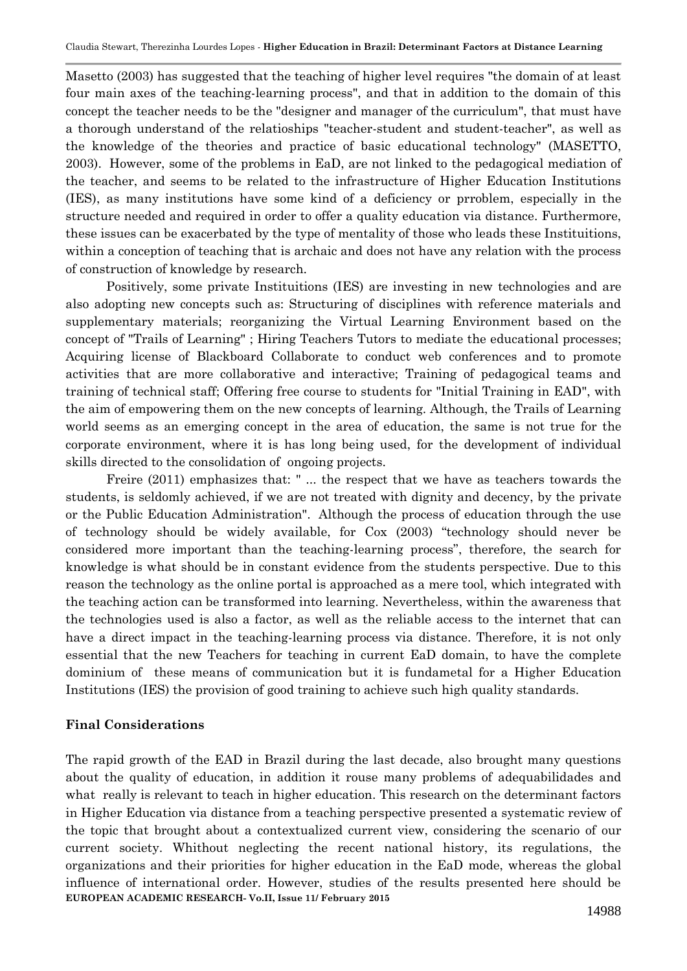Masetto (2003) has suggested that the teaching of higher level requires "the domain of at least four main axes of the teaching-learning process", and that in addition to the domain of this concept the teacher needs to be the "designer and manager of the curriculum", that must have a thorough understand of the relatioships "teacher-student and student-teacher", as well as the knowledge of the theories and practice of basic educational technology" (MASETTO, 2003). However, some of the problems in EaD, are not linked to the pedagogical mediation of the teacher, and seems to be related to the infrastructure of Higher Education Institutions (IES), as many institutions have some kind of a deficiency or prroblem, especially in the structure needed and required in order to offer a quality education via distance. Furthermore, these issues can be exacerbated by the type of mentality of those who leads these Instituitions, within a conception of teaching that is archaic and does not have any relation with the process of construction of knowledge by research.

Positively, some private Instituitions (IES) are investing in new technologies and are also adopting new concepts such as: Structuring of disciplines with reference materials and supplementary materials; reorganizing the Virtual Learning Environment based on the concept of "Trails of Learning" ; Hiring Teachers Tutors to mediate the educational processes; Acquiring license of Blackboard Collaborate to conduct web conferences and to promote activities that are more collaborative and interactive; Training of pedagogical teams and training of technical staff; Offering free course to students for "Initial Training in EAD", with the aim of empowering them on the new concepts of learning. Although, the Trails of Learning world seems as an emerging concept in the area of education, the same is not true for the corporate environment, where it is has long being used, for the development of individual skills directed to the consolidation of ongoing projects.

Freire (2011) emphasizes that: " ... the respect that we have as teachers towards the students, is seldomly achieved, if we are not treated with dignity and decency, by the private or the Public Education Administration". Although the process of education through the use of technology should be widely available, for Cox (2003) "technology should never be considered more important than the teaching-learning process", therefore, the search for knowledge is what should be in constant evidence from the students perspective. Due to this reason the technology as the online portal is approached as a mere tool, which integrated with the teaching action can be transformed into learning. Nevertheless, within the awareness that the technologies used is also a factor, as well as the reliable access to the internet that can have a direct impact in the teaching-learning process via distance. Therefore, it is not only essential that the new Teachers for teaching in current EaD domain, to have the complete dominium of these means of communication but it is fundametal for a Higher Education Institutions (IES) the provision of good training to achieve such high quality standards.

#### **Final Considerations**

**EUROPEAN ACADEMIC RESEARCH- Vo.II, Issue 11/ February 2015** The rapid growth of the EAD in Brazil during the last decade, also brought many questions about the quality of education, in addition it rouse many problems of adequabilidades and what really is relevant to teach in higher education. This research on the determinant factors in Higher Education via distance from a teaching perspective presented a systematic review of the topic that brought about a contextualized current view, considering the scenario of our current society. Whithout neglecting the recent national history, its regulations, the organizations and their priorities for higher education in the EaD mode, whereas the global influence of international order. However, studies of the results presented here should be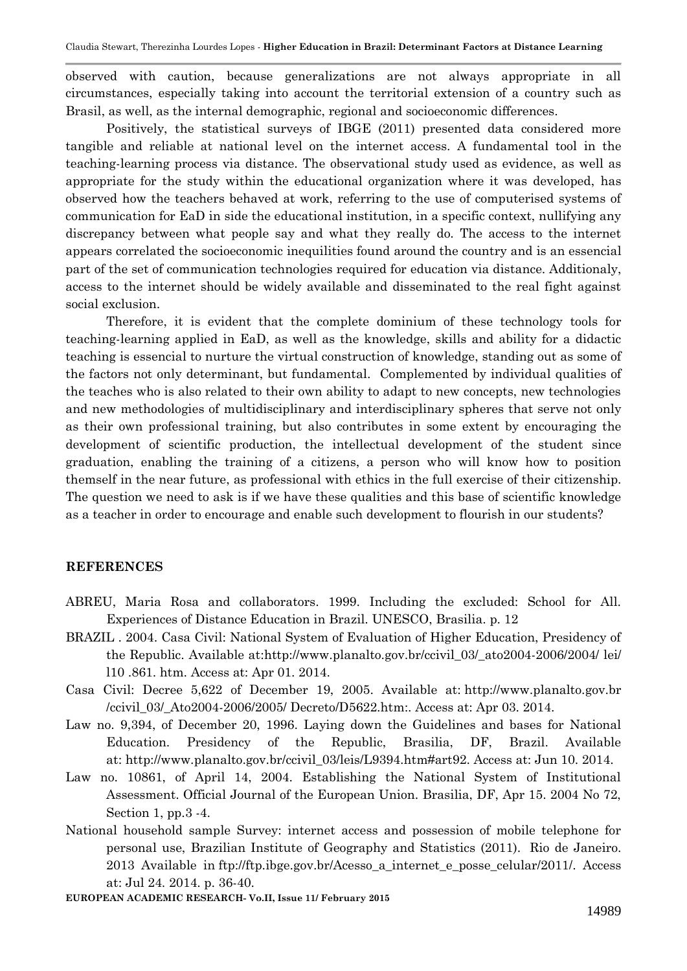observed with caution, because generalizations are not always appropriate in all circumstances, especially taking into account the territorial extension of a country such as Brasil, as well, as the internal demographic, regional and socioeconomic differences.

Positively, the statistical surveys of IBGE (2011) presented data considered more tangible and reliable at national level on the internet access. A fundamental tool in the teaching-learning process via distance. The observational study used as evidence, as well as appropriate for the study within the educational organization where it was developed, has observed how the teachers behaved at work, referring to the use of computerised systems of communication for EaD in side the educational institution, in a specific context, nullifying any discrepancy between what people say and what they really do. The access to the internet appears correlated the socioeconomic inequilities found around the country and is an essencial part of the set of communication technologies required for education via distance. Additionaly, access to the internet should be widely available and disseminated to the real fight against social exclusion.

Therefore, it is evident that the complete dominium of these technology tools for teaching-learning applied in EaD, as well as the knowledge, skills and ability for a didactic teaching is essencial to nurture the virtual construction of knowledge, standing out as some of the factors not only determinant, but fundamental. Complemented by individual qualities of the teaches who is also related to their own ability to adapt to new concepts, new technologies and new methodologies of multidisciplinary and interdisciplinary spheres that serve not only as their own professional training, but also contributes in some extent by encouraging the development of scientific production, the intellectual development of the student since graduation, enabling the training of a citizens, a person who will know how to position themself in the near future, as professional with ethics in the full exercise of their citizenship. The question we need to ask is if we have these qualities and this base of scientific knowledge as a teacher in order to encourage and enable such development to flourish in our students?

## **REFERENCES**

- ABREU, Maria Rosa and collaborators. 1999. Including the excluded: School for All. Experiences of Distance Education in Brazil. UNESCO, Brasilia. p. 12
- BRAZIL . 2004. Casa Civil: National System of Evaluation of Higher Education, Presidency of the Republic. Available at:http://www.planalto.gov.br/ccivil 03/ ato2004-2006/2004/ lei/ l10 [.861.](http://www.planalto.gov.br/ccivil_03/_ato2004-2006/2004/lei/l10.861.htm) htm. Access at: Apr 01. 2014.
- Casa Civil: Decree 5,622 of December 19, 2005. Available at: [http://www.planalto.gov.br](http://www.planalto.gov.br/ccivil_03/_Ato2004-2006/2005/Decreto/D5622.htm) [/ccivil\\_03/\\_Ato2004-2006/2005/](http://www.planalto.gov.br/ccivil_03/_Ato2004-2006/2005/Decreto/D5622.htm) Decreto/D5622.htm:. Access at: Apr 03. 2014.
- Law no. 9,394, of December 20, 1996. Laying down the Guidelines and bases for National Education. Presidency of the Republic, Brasilia, DF, Brazil. Available at: [http://www.planalto.gov.br/ccivil\\_03/leis/L9394.htm#art92.](http://www.planalto.gov.br/ccivil_03/leis/L9394.htm#art92) Access at: Jun 10. 2014.
- Law no. 10861, of April 14, 2004. Establishing the National System of Institutional Assessment. Official Journal of the European Union. Brasilia, DF, Apr 15. 2004 No 72, Section 1, pp.3 -4.
- National household sample Survey: internet access and possession of mobile telephone for personal use, Brazilian Institute of Geography and Statistics (2011). Rio de Janeiro. 2013 Available in [ftp://ftp.ibge.gov.br/Acesso\\_a\\_internet\\_e\\_posse\\_celular/2011/.](ftp://ftp.ibge.gov.br/Acesso_a_internet_e_posse_celular/2011/) Access at: Jul 24. 2014. p. 36-40.

**EUROPEAN ACADEMIC RESEARCH- Vo.II, Issue 11/ February 2015**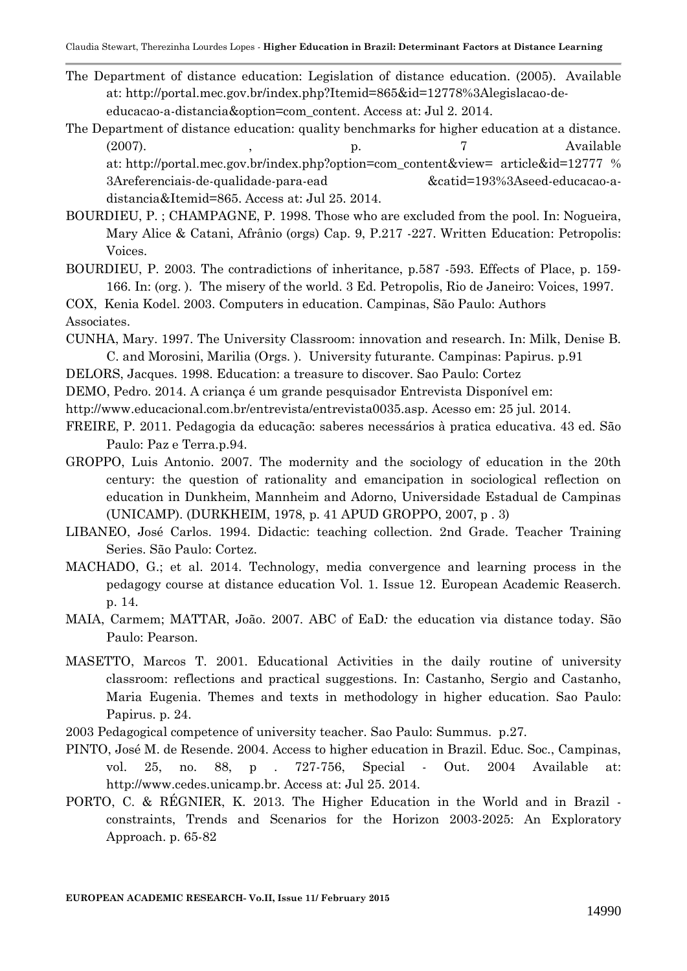- The Department of distance education: Legislation of distance education. (2005). Available at: [http://portal.mec.gov.br/index.php?Itemid=865&id=12778%3Alegislacao-de](http://portal.mec.gov.br/index.php?Itemid=865&id=12778:legislacao-de-educacao-a-distancia&option=com_content)[educacao-a-distancia&option=com\\_content.](http://portal.mec.gov.br/index.php?Itemid=865&id=12778:legislacao-de-educacao-a-distancia&option=com_content) Access at: Jul 2. 2014.
- The Department of distance education: quality benchmarks for higher education at a distance. (2007). (2007). (2007). (2007). (2007). (2007). (2007). (2007). (2007). (2007). (2007). (2008). (2008). (2008). (2008). (2008). (2008). (2008). (2008). (2008). (2008). (2008). (2008). (2008). (2008). (2008). (2008). (2008)

at: [http://portal.mec.gov.br/index.php?option=com\\_content&view=](http://portal.mec.gov.br/index.php?option=com_content&view=article&id=12777:referenciais-de-qualidade-para-ead&catid=193:seed-educacao-a-distancia&Itemid=865) article&id=12777 % [3Areferenciais-de-qualidade-para-ead](http://portal.mec.gov.br/index.php?option=com_content&view=article&id=12777:referenciais-de-qualidade-para-ead&catid=193:seed-educacao-a-distancia&Itemid=865) &catid=193%3Aseed-educacao-a[distancia&Itemid=865.](http://portal.mec.gov.br/index.php?option=com_content&view=article&id=12777:referenciais-de-qualidade-para-ead&catid=193:seed-educacao-a-distancia&Itemid=865) Access at: Jul 25. 2014.

- BOURDIEU, P. ; CHAMPAGNE, P. 1998. Those who are excluded from the pool. In: Nogueira, Mary Alice & Catani, Afrânio (orgs) Cap. 9, P.217 -227. Written Education: Petropolis: Voices.
- BOURDIEU, P. 2003. The contradictions of inheritance, p.587 -593. Effects of Place, p. 159- 166. In: (org. ). The misery of the world. 3 Ed. Petropolis, Rio de Janeiro: Voices, 1997.

COX, Kenia Kodel. 2003. Computers in education. Campinas, São Paulo: Authors Associates.

- CUNHA, Mary. 1997. The University Classroom: innovation and research. In: Milk, Denise B. C. and Morosini, Marilia (Orgs. ). University futurante. Campinas: Papirus. p.91
- DELORS, Jacques. 1998. Education: a treasure to discover. Sao Paulo: Cortez
- DEMO, Pedro. 2014. A criança é um grande pesquisador Entrevista Disponível em:
- [http://www.educacional.com.br/entrevista/entrevista0035.asp.](http://www.educacional.com.br/entrevista/entrevista0035.asp) Acesso em: 25 jul. 2014.
- FREIRE, P. 2011. Pedagogia da educação: saberes necessários à pratica educativa. 43 ed. São Paulo: Paz e Terra.p.94.
- GROPPO, Luis Antonio. 2007. The modernity and the sociology of education in the 20th century: the question of rationality and emancipation in sociological reflection on education in Dunkheim, Mannheim and Adorno, Universidade Estadual de Campinas (UNICAMP). (DURKHEIM, 1978, p. 41 APUD GROPPO, 2007, p . 3)
- LIBANEO, José Carlos. 1994. Didactic: teaching collection. 2nd Grade. Teacher Training Series. São Paulo: Cortez.
- MACHADO, G.; et al. 2014. Technology, media convergence and learning process in the pedagogy course at distance education Vol. 1. Issue 12. European Academic Reaserch. p. 14.
- MAIA, Carmem; MATTAR, João. 2007. ABC of EaD*:* the education via distance today. São Paulo: Pearson.
- MASETTO, Marcos T. 2001. Educational Activities in the daily routine of university classroom: reflections and practical suggestions. In: Castanho, Sergio and Castanho, Maria Eugenia. Themes and texts in methodology in higher education. Sao Paulo: Papirus. p. 24.
- 2003 Pedagogical competence of university teacher. Sao Paulo: Summus. p.27.
- PINTO, José M. de Resende. 2004. Access to higher education in Brazil. Educ. Soc., Campinas, vol. 25, no. 88, p . 727-756, Special - Out. 2004 Available at: http://www.cedes.unicamp.br. Access at: Jul 25. 2014.
- PORTO, C. & RÉGNIER, K. 2013. The Higher Education in the World and in Brazil constraints, Trends and Scenarios for the Horizon 2003-2025: An Exploratory Approach. p. 65-82